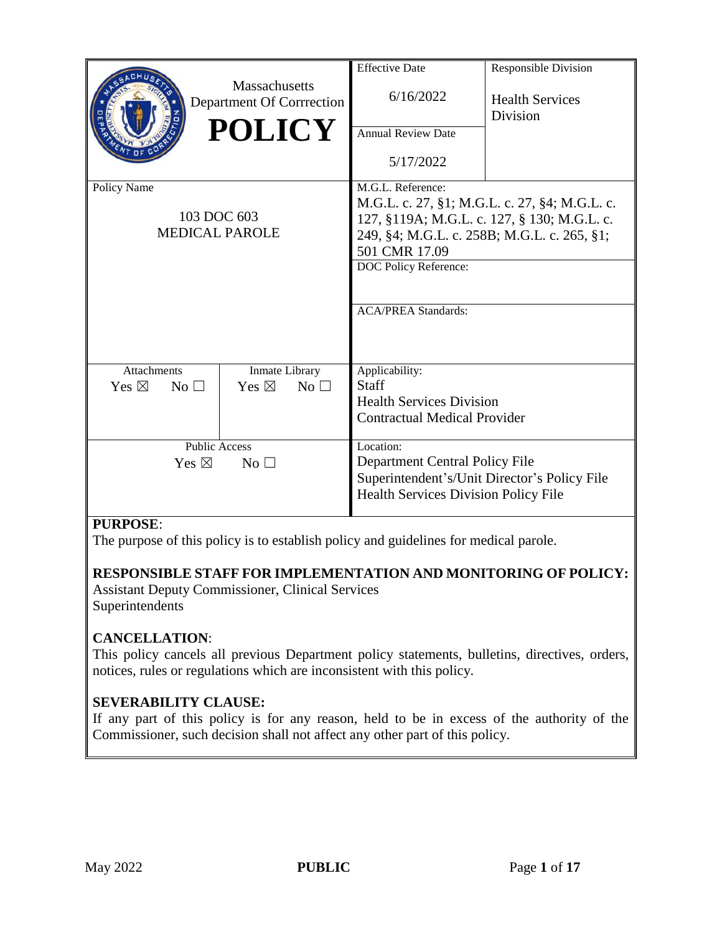|                                                          |                                                                    | <b>Effective Date</b>                                                                                                                      | <b>Responsible Division</b>        |
|----------------------------------------------------------|--------------------------------------------------------------------|--------------------------------------------------------------------------------------------------------------------------------------------|------------------------------------|
|                                                          | <b>Massachusetts</b><br>Department Of Corrrection<br><b>POLICY</b> | 6/16/2022<br><b>Annual Review Date</b><br>5/17/2022                                                                                        | <b>Health Services</b><br>Division |
| Policy Name                                              |                                                                    | M.G.L. Reference:                                                                                                                          |                                    |
|                                                          |                                                                    | M.G.L. c. 27, §1; M.G.L. c. 27, §4; M.G.L. c.                                                                                              |                                    |
| 103 DOC 603                                              |                                                                    | 127, §119A; M.G.L. c. 127, § 130; M.G.L. c.                                                                                                |                                    |
| <b>MEDICAL PAROLE</b>                                    |                                                                    | 249, §4; M.G.L. c. 258B; M.G.L. c. 265, §1;                                                                                                |                                    |
|                                                          |                                                                    | 501 CMR 17.09                                                                                                                              |                                    |
|                                                          |                                                                    | DOC Policy Reference:<br><b>ACA/PREA Standards:</b>                                                                                        |                                    |
| <b>Attachments</b><br>Yes $\boxtimes$<br>No <sub>1</sub> | Inmate Library<br>Yes $\boxtimes$<br>No <sub>1</sub>               | Applicability:<br><b>Staff</b><br><b>Health Services Division</b><br><b>Contractual Medical Provider</b>                                   |                                    |
| <b>Public Access</b><br>Yes $\boxtimes$                  | No <sub>1</sub>                                                    | Location:<br>Department Central Policy File<br>Superintendent's/Unit Director's Policy File<br><b>Health Services Division Policy File</b> |                                    |
|                                                          |                                                                    |                                                                                                                                            |                                    |

## **PURPOSE**:

The purpose of this policy is to establish policy and guidelines for medical parole.

# **RESPONSIBLE STAFF FOR IMPLEMENTATION AND MONITORING OF POLICY:**

Assistant Deputy Commissioner, Clinical Services Superintendents

## **CANCELLATION**:

This policy cancels all previous Department policy statements, bulletins, directives, orders, notices, rules or regulations which are inconsistent with this policy.

## **SEVERABILITY CLAUSE:**

If any part of this policy is for any reason, held to be in excess of the authority of the Commissioner, such decision shall not affect any other part of this policy.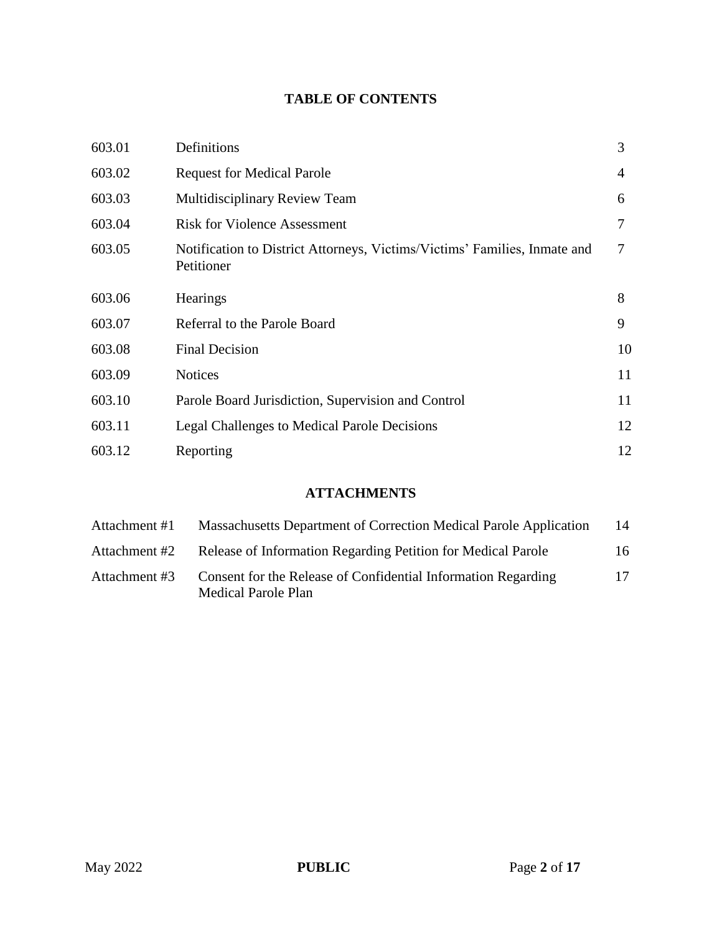## **TABLE OF CONTENTS**

| 603.01 | Definitions                                                                             | 3  |
|--------|-----------------------------------------------------------------------------------------|----|
| 603.02 | <b>Request for Medical Parole</b>                                                       | 4  |
| 603.03 | Multidisciplinary Review Team                                                           | 6  |
| 603.04 | <b>Risk for Violence Assessment</b>                                                     | 7  |
| 603.05 | Notification to District Attorneys, Victims/Victims' Families, Inmate and<br>Petitioner | 7  |
| 603.06 | <b>Hearings</b>                                                                         | 8  |
| 603.07 | Referral to the Parole Board                                                            | 9  |
| 603.08 | <b>Final Decision</b>                                                                   | 10 |
| 603.09 | <b>Notices</b>                                                                          | 11 |
| 603.10 | Parole Board Jurisdiction, Supervision and Control                                      | 11 |
| 603.11 | Legal Challenges to Medical Parole Decisions                                            | 12 |
| 603.12 | Reporting                                                                               | 12 |

# **ATTACHMENTS**

| Attachment #1 | Massachusetts Department of Correction Medical Parole Application                    | 14 |
|---------------|--------------------------------------------------------------------------------------|----|
| Attachment #2 | Release of Information Regarding Petition for Medical Parole                         | 16 |
| Attachment #3 | Consent for the Release of Confidential Information Regarding<br>Medical Parole Plan | 17 |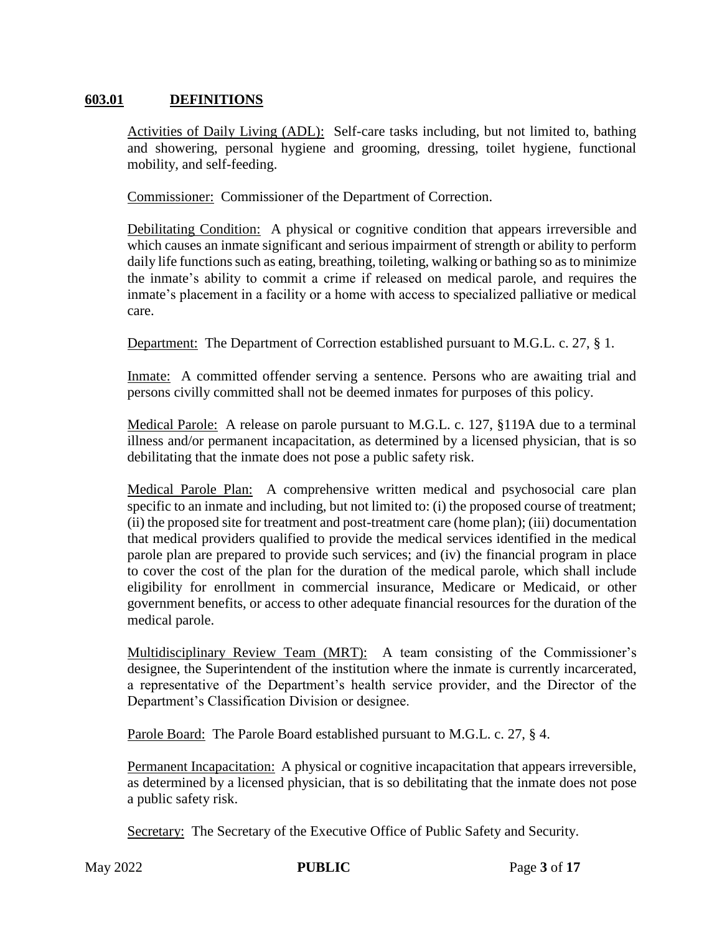## **603.01 DEFINITIONS**

Activities of Daily Living (ADL): Self-care tasks including, but not limited to, bathing and showering, personal hygiene and grooming, dressing, toilet hygiene, functional mobility, and self-feeding.

Commissioner: Commissioner of the Department of Correction.

Debilitating Condition: A physical or cognitive condition that appears irreversible and which causes an inmate significant and serious impairment of strength or ability to perform daily life functions such as eating, breathing, toileting, walking or bathing so as to minimize the inmate's ability to commit a crime if released on medical parole, and requires the inmate's placement in a facility or a home with access to specialized palliative or medical care.

Department: The Department of Correction established pursuant to M.G.L. c. 27, § 1.

Inmate: A committed offender serving a sentence. Persons who are awaiting trial and persons civilly committed shall not be deemed inmates for purposes of this policy.

Medical Parole: A release on parole pursuant to M.G.L. c. 127, §119A due to a terminal illness and/or permanent incapacitation, as determined by a licensed physician, that is so debilitating that the inmate does not pose a public safety risk.

Medical Parole Plan: A comprehensive written medical and psychosocial care plan specific to an inmate and including, but not limited to: (i) the proposed course of treatment; (ii) the proposed site for treatment and post-treatment care (home plan); (iii) documentation that medical providers qualified to provide the medical services identified in the medical parole plan are prepared to provide such services; and (iv) the financial program in place to cover the cost of the plan for the duration of the medical parole, which shall include eligibility for enrollment in commercial insurance, Medicare or Medicaid, or other government benefits, or access to other adequate financial resources for the duration of the medical parole.

Multidisciplinary Review Team (MRT): A team consisting of the Commissioner's designee, the Superintendent of the institution where the inmate is currently incarcerated, a representative of the Department's health service provider, and the Director of the Department's Classification Division or designee.

Parole Board: The Parole Board established pursuant to M.G.L. c. 27, § 4.

Permanent Incapacitation: A physical or cognitive incapacitation that appears irreversible, as determined by a licensed physician, that is so debilitating that the inmate does not pose a public safety risk.

Secretary: The Secretary of the Executive Office of Public Safety and Security.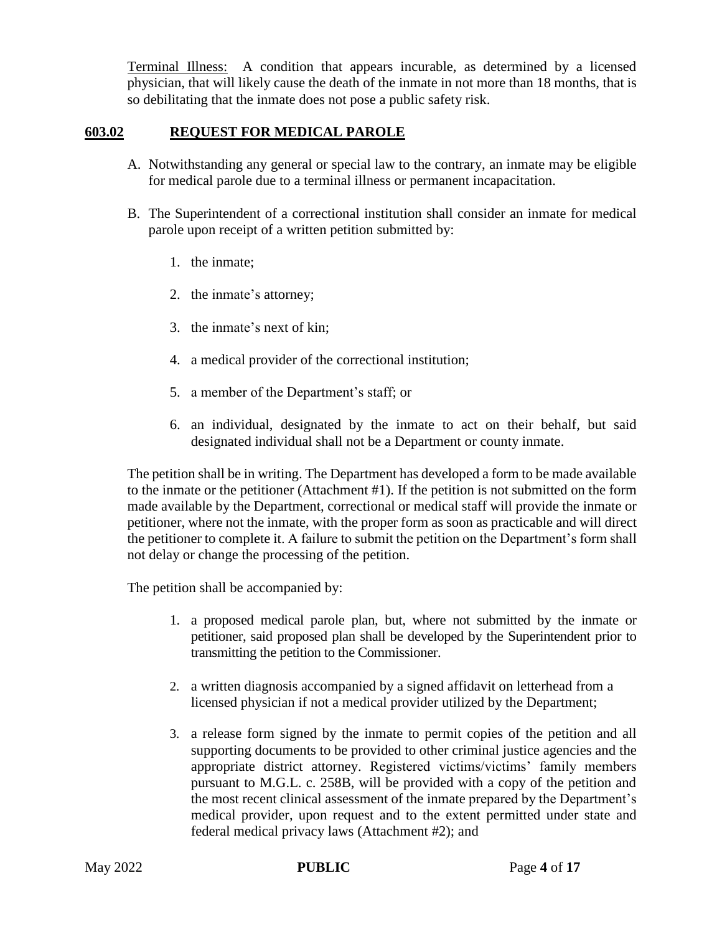Terminal Illness: A condition that appears incurable, as determined by a licensed physician, that will likely cause the death of the inmate in not more than 18 months, that is so debilitating that the inmate does not pose a public safety risk.

## **603.02 REQUEST FOR MEDICAL PAROLE**

- A. Notwithstanding any general or special law to the contrary, an inmate may be eligible for medical parole due to a terminal illness or permanent incapacitation.
- B. The Superintendent of a correctional institution shall consider an inmate for medical parole upon receipt of a written petition submitted by:
	- 1. the inmate;
	- 2. the inmate's attorney;
	- 3. the inmate's next of kin;
	- 4. a medical provider of the correctional institution;
	- 5. a member of the Department's staff; or
	- 6. an individual, designated by the inmate to act on their behalf, but said designated individual shall not be a Department or county inmate.

The petition shall be in writing. The Department has developed a form to be made available to the inmate or the petitioner (Attachment #1). If the petition is not submitted on the form made available by the Department, correctional or medical staff will provide the inmate or petitioner, where not the inmate, with the proper form as soon as practicable and will direct the petitioner to complete it. A failure to submit the petition on the Department's form shall not delay or change the processing of the petition.

The petition shall be accompanied by:

- 1. a proposed medical parole plan, but, where not submitted by the inmate or petitioner, said proposed plan shall be developed by the Superintendent prior to transmitting the petition to the Commissioner.
- 2. a written diagnosis accompanied by a signed affidavit on letterhead from a licensed physician if not a medical provider utilized by the Department;
- 3. a release form signed by the inmate to permit copies of the petition and all supporting documents to be provided to other criminal justice agencies and the appropriate district attorney. Registered victims/victims' family members pursuant to M.G.L. c. 258B, will be provided with a copy of the petition and the most recent clinical assessment of the inmate prepared by the Department's medical provider, upon request and to the extent permitted under state and federal medical privacy laws (Attachment #2); and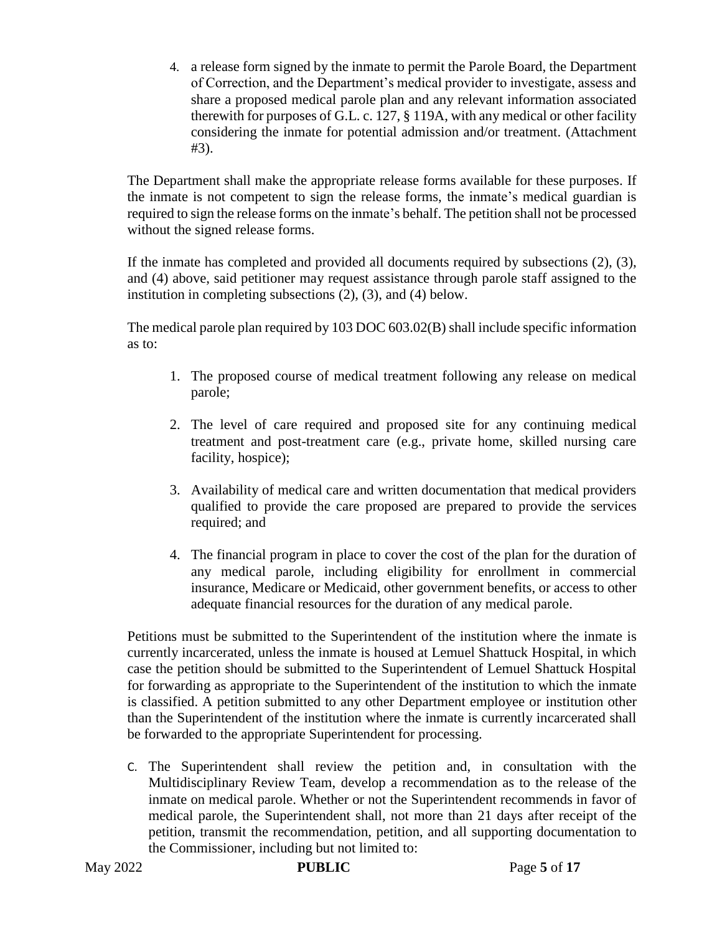4. a release form signed by the inmate to permit the Parole Board, the Department of Correction, and the Department's medical provider to investigate, assess and share a proposed medical parole plan and any relevant information associated therewith for purposes of G.L. c. 127, § 119A, with any medical or other facility considering the inmate for potential admission and/or treatment. (Attachment #3).

The Department shall make the appropriate release forms available for these purposes. If the inmate is not competent to sign the release forms, the inmate's medical guardian is required to sign the release forms on the inmate's behalf. The petition shall not be processed without the signed release forms.

If the inmate has completed and provided all documents required by subsections (2), (3), and (4) above, said petitioner may request assistance through parole staff assigned to the institution in completing subsections (2), (3), and (4) below.

The medical parole plan required by 103 DOC 603.02(B) shall include specific information as to:

- 1. The proposed course of medical treatment following any release on medical parole;
- 2. The level of care required and proposed site for any continuing medical treatment and post-treatment care (e.g., private home, skilled nursing care facility, hospice);
- 3. Availability of medical care and written documentation that medical providers qualified to provide the care proposed are prepared to provide the services required; and
- 4. The financial program in place to cover the cost of the plan for the duration of any medical parole, including eligibility for enrollment in commercial insurance, Medicare or Medicaid, other government benefits, or access to other adequate financial resources for the duration of any medical parole.

Petitions must be submitted to the Superintendent of the institution where the inmate is currently incarcerated, unless the inmate is housed at Lemuel Shattuck Hospital, in which case the petition should be submitted to the Superintendent of Lemuel Shattuck Hospital for forwarding as appropriate to the Superintendent of the institution to which the inmate is classified. A petition submitted to any other Department employee or institution other than the Superintendent of the institution where the inmate is currently incarcerated shall be forwarded to the appropriate Superintendent for processing.

C. The Superintendent shall review the petition and, in consultation with the Multidisciplinary Review Team, develop a recommendation as to the release of the inmate on medical parole. Whether or not the Superintendent recommends in favor of medical parole, the Superintendent shall, not more than 21 days after receipt of the petition, transmit the recommendation, petition, and all supporting documentation to the Commissioner, including but not limited to: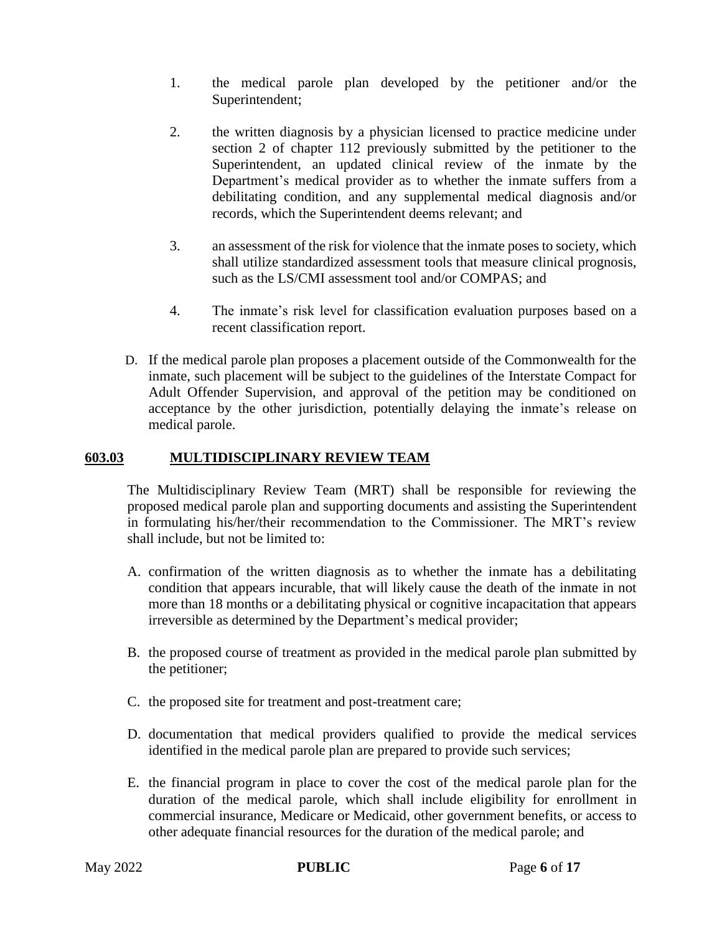- 1. the medical parole plan developed by the petitioner and/or the Superintendent;
- 2. the written diagnosis by a physician licensed to practice medicine under section 2 of chapter 112 previously submitted by the petitioner to the Superintendent, an updated clinical review of the inmate by the Department's medical provider as to whether the inmate suffers from a debilitating condition, and any supplemental medical diagnosis and/or records, which the Superintendent deems relevant; and
- 3. an assessment of the risk for violence that the inmate poses to society, which shall utilize standardized assessment tools that measure clinical prognosis, such as the LS/CMI assessment tool and/or COMPAS; and
- 4. The inmate's risk level for classification evaluation purposes based on a recent classification report.
- D. If the medical parole plan proposes a placement outside of the Commonwealth for the inmate, such placement will be subject to the guidelines of the Interstate Compact for Adult Offender Supervision, and approval of the petition may be conditioned on acceptance by the other jurisdiction, potentially delaying the inmate's release on medical parole.

## **603.03 MULTIDISCIPLINARY REVIEW TEAM**

The Multidisciplinary Review Team (MRT) shall be responsible for reviewing the proposed medical parole plan and supporting documents and assisting the Superintendent in formulating his/her/their recommendation to the Commissioner. The MRT's review shall include, but not be limited to:

- A. confirmation of the written diagnosis as to whether the inmate has a debilitating condition that appears incurable, that will likely cause the death of the inmate in not more than 18 months or a debilitating physical or cognitive incapacitation that appears irreversible as determined by the Department's medical provider;
- B. the proposed course of treatment as provided in the medical parole plan submitted by the petitioner;
- C. the proposed site for treatment and post-treatment care;
- D. documentation that medical providers qualified to provide the medical services identified in the medical parole plan are prepared to provide such services;
- E. the financial program in place to cover the cost of the medical parole plan for the duration of the medical parole, which shall include eligibility for enrollment in commercial insurance, Medicare or Medicaid, other government benefits, or access to other adequate financial resources for the duration of the medical parole; and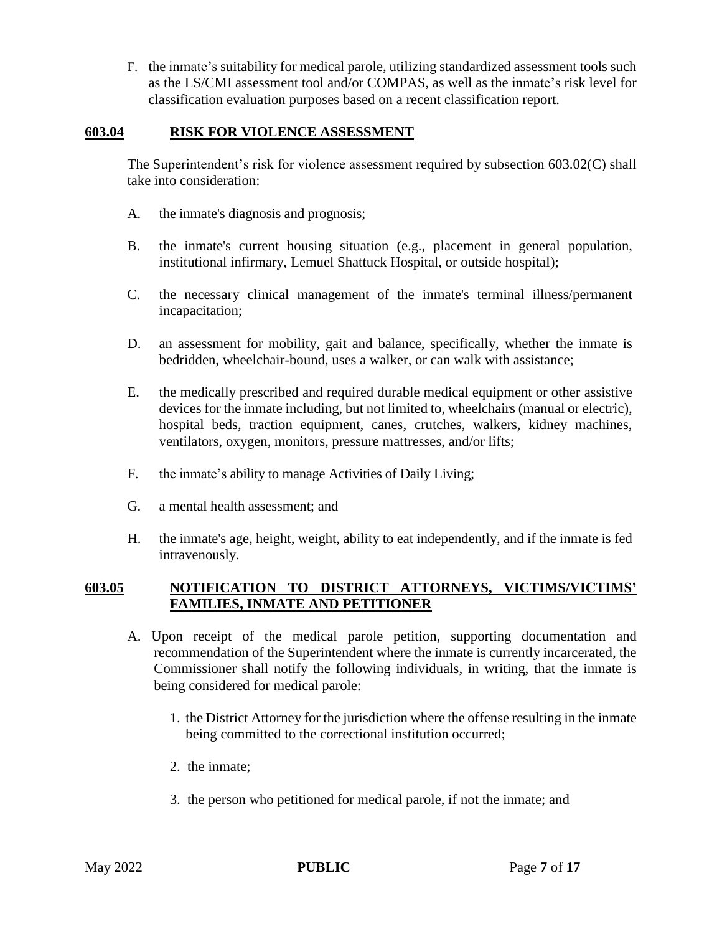F. the inmate's suitability for medical parole, utilizing standardized assessment tools such as the LS/CMI assessment tool and/or COMPAS, as well as the inmate's risk level for classification evaluation purposes based on a recent classification report.

#### **603.04 RISK FOR VIOLENCE ASSESSMENT**

The Superintendent's risk for violence assessment required by subsection 603.02(C) shall take into consideration:

- A. the inmate's diagnosis and prognosis;
- B. the inmate's current housing situation (e.g., placement in general population, institutional infirmary, Lemuel Shattuck Hospital, or outside hospital);
- C. the necessary clinical management of the inmate's terminal illness/permanent incapacitation;
- D. an assessment for mobility, gait and balance, specifically, whether the inmate is bedridden, wheelchair-bound, uses a walker, or can walk with assistance;
- E. the medically prescribed and required durable medical equipment or other assistive devices for the inmate including, but not limited to, wheelchairs (manual or electric), hospital beds, traction equipment, canes, crutches, walkers, kidney machines, ventilators, oxygen, monitors, pressure mattresses, and/or lifts;
- F. the inmate's ability to manage Activities of Daily Living;
- G. a mental health assessment; and
- H. the inmate's age, height, weight, ability to eat independently, and if the inmate is fed intravenously.

#### **603.05 NOTIFICATION TO DISTRICT ATTORNEYS, VICTIMS/VICTIMS' FAMILIES, INMATE AND PETITIONER**

- A. Upon receipt of the medical parole petition, supporting documentation and recommendation of the Superintendent where the inmate is currently incarcerated, the Commissioner shall notify the following individuals, in writing, that the inmate is being considered for medical parole:
	- 1. the District Attorney for the jurisdiction where the offense resulting in the inmate being committed to the correctional institution occurred;
	- 2. the inmate;
	- 3. the person who petitioned for medical parole, if not the inmate; and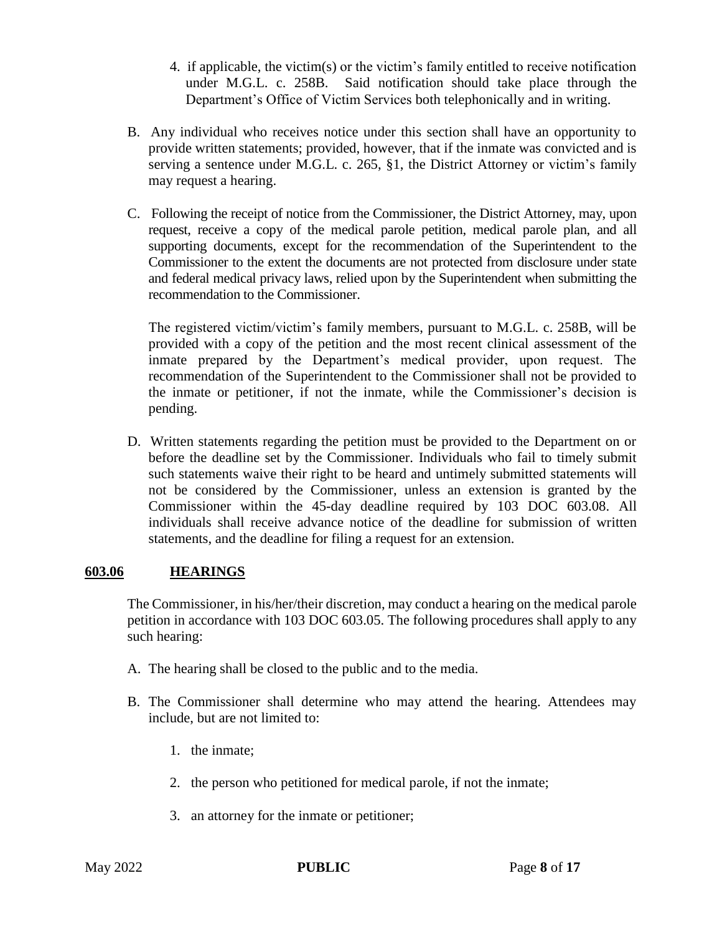- 4. if applicable, the victim(s) or the victim's family entitled to receive notification under M.G.L. c. 258B. Said notification should take place through the Department's Office of Victim Services both telephonically and in writing.
- B. Any individual who receives notice under this section shall have an opportunity to provide written statements; provided, however, that if the inmate was convicted and is serving a sentence under M.G.L. c. 265, §1, the District Attorney or victim's family may request a hearing.
- C. Following the receipt of notice from the Commissioner, the District Attorney, may, upon request, receive a copy of the medical parole petition, medical parole plan, and all supporting documents, except for the recommendation of the Superintendent to the Commissioner to the extent the documents are not protected from disclosure under state and federal medical privacy laws, relied upon by the Superintendent when submitting the recommendation to the Commissioner.

The registered victim/victim's family members, pursuant to M.G.L. c. 258B, will be provided with a copy of the petition and the most recent clinical assessment of the inmate prepared by the Department's medical provider, upon request. The recommendation of the Superintendent to the Commissioner shall not be provided to the inmate or petitioner, if not the inmate, while the Commissioner's decision is pending.

D. Written statements regarding the petition must be provided to the Department on or before the deadline set by the Commissioner. Individuals who fail to timely submit such statements waive their right to be heard and untimely submitted statements will not be considered by the Commissioner, unless an extension is granted by the Commissioner within the 45-day deadline required by 103 DOC 603.08. All individuals shall receive advance notice of the deadline for submission of written statements, and the deadline for filing a request for an extension.

## **603.06 HEARINGS**

The Commissioner, in his/her/their discretion, may conduct a hearing on the medical parole petition in accordance with 103 DOC 603.05. The following procedures shall apply to any such hearing:

- A. The hearing shall be closed to the public and to the media.
- B. The Commissioner shall determine who may attend the hearing. Attendees may include, but are not limited to:
	- 1. the inmate;
	- 2. the person who petitioned for medical parole, if not the inmate;
	- 3. an attorney for the inmate or petitioner;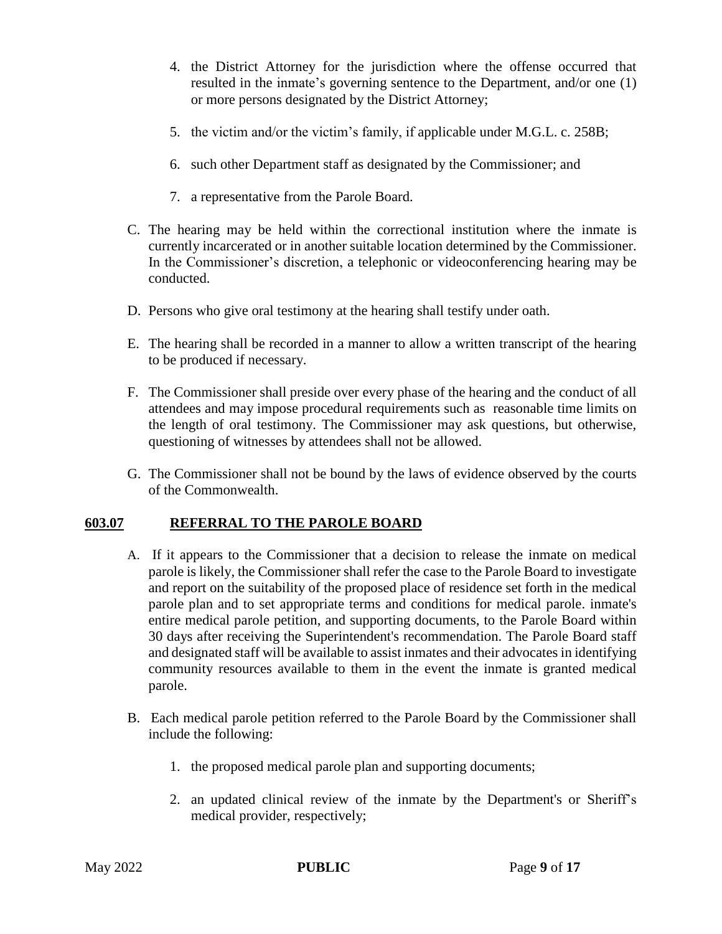- 4. the District Attorney for the jurisdiction where the offense occurred that resulted in the inmate's governing sentence to the Department, and/or one (1) or more persons designated by the District Attorney;
- 5. the victim and/or the victim's family, if applicable under M.G.L. c. 258B;
- 6. such other Department staff as designated by the Commissioner; and
- 7. a representative from the Parole Board.
- C. The hearing may be held within the correctional institution where the inmate is currently incarcerated or in another suitable location determined by the Commissioner. In the Commissioner's discretion, a telephonic or videoconferencing hearing may be conducted.
- D. Persons who give oral testimony at the hearing shall testify under oath.
- E. The hearing shall be recorded in a manner to allow a written transcript of the hearing to be produced if necessary.
- F. The Commissioner shall preside over every phase of the hearing and the conduct of all attendees and may impose procedural requirements such as reasonable time limits on the length of oral testimony. The Commissioner may ask questions, but otherwise, questioning of witnesses by attendees shall not be allowed.
- G. The Commissioner shall not be bound by the laws of evidence observed by the courts of the Commonwealth.

## **603.07 REFERRAL TO THE PAROLE BOARD**

- A. If it appears to the Commissioner that a decision to release the inmate on medical parole is likely, the Commissioner shall refer the case to the Parole Board to investigate and report on the suitability of the proposed place of residence set forth in the medical parole plan and to set appropriate terms and conditions for medical parole. inmate's entire medical parole petition, and supporting documents, to the Parole Board within 30 days after receiving the Superintendent's recommendation. The Parole Board staff and designated staff will be available to assist inmates and their advocates in identifying community resources available to them in the event the inmate is granted medical parole.
- B. Each medical parole petition referred to the Parole Board by the Commissioner shall include the following:
	- 1. the proposed medical parole plan and supporting documents;
	- 2. an updated clinical review of the inmate by the Department's or Sheriff's medical provider, respectively;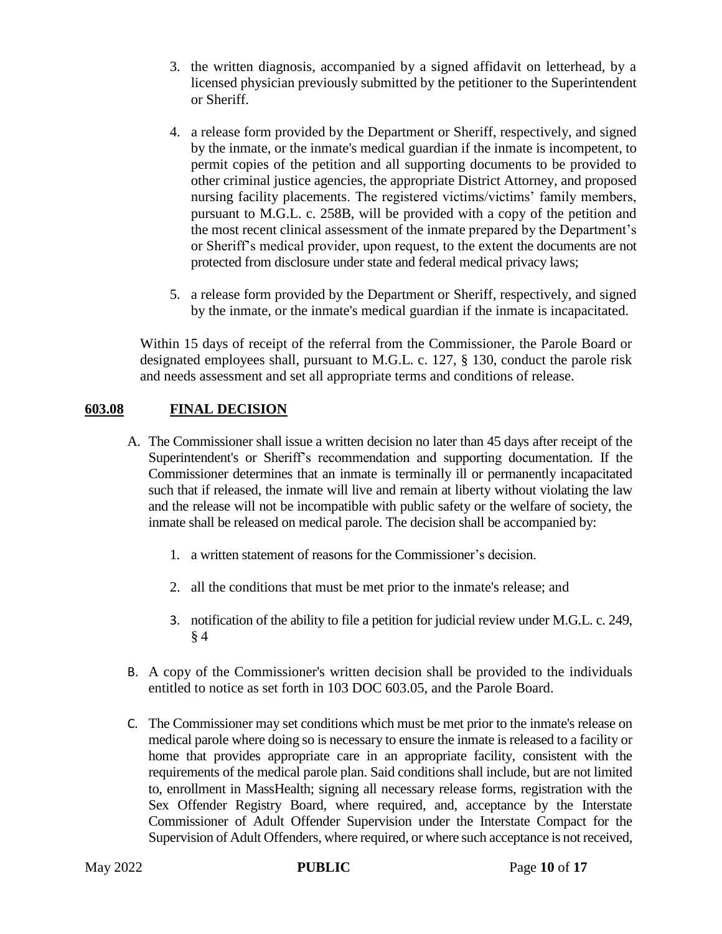- 3. the written diagnosis, accompanied by a signed affidavit on letterhead, by a licensed physician previously submitted by the petitioner to the Superintendent or Sheriff.
- 4. a release form provided by the Department or Sheriff, respectively, and signed by the inmate, or the inmate's medical guardian if the inmate is incompetent, to permit copies of the petition and all supporting documents to be provided to other criminal justice agencies, the appropriate District Attorney, and proposed nursing facility placements. The registered victims/victims' family members, pursuant to M.G.L. c. 258B, will be provided with a copy of the petition and the most recent clinical assessment of the inmate prepared by the Department's or Sheriff's medical provider, upon request, to the extent the documents are not protected from disclosure under state and federal medical privacy laws;
- 5. a release form provided by the Department or Sheriff, respectively, and signed by the inmate, or the inmate's medical guardian if the inmate is incapacitated.

Within 15 days of receipt of the referral from the Commissioner, the Parole Board or designated employees shall, pursuant to M.G.L. c. 127, § 130, conduct the parole risk and needs assessment and set all appropriate terms and conditions of release.

## **603.08 FINAL DECISION**

- A. The Commissioner shall issue a written decision no later than 45 days after receipt of the Superintendent's or Sheriff's recommendation and supporting documentation. If the Commissioner determines that an inmate is terminally ill or permanently incapacitated such that if released, the inmate will live and remain at liberty without violating the law and the release will not be incompatible with public safety or the welfare of society, the inmate shall be released on medical parole. The decision shall be accompanied by:
	- 1. a written statement of reasons for the Commissioner's decision.
	- 2. all the conditions that must be met prior to the inmate's release; and
	- 3. notification of the ability to file a petition for judicial review under M.G.L. c. 249, § 4
- B. A copy of the Commissioner's written decision shall be provided to the individuals entitled to notice as set forth in 103 DOC 603.05, and the Parole Board.
- C. The Commissioner may set conditions which must be met prior to the inmate's release on medical parole where doing so is necessary to ensure the inmate is released to a facility or home that provides appropriate care in an appropriate facility, consistent with the requirements of the medical parole plan. Said conditions shall include, but are not limited to, enrollment in MassHealth; signing all necessary release forms, registration with the Sex Offender Registry Board, where required, and, acceptance by the Interstate Commissioner of Adult Offender Supervision under the Interstate Compact for the Supervision of Adult Offenders, where required, or where such acceptance is not received,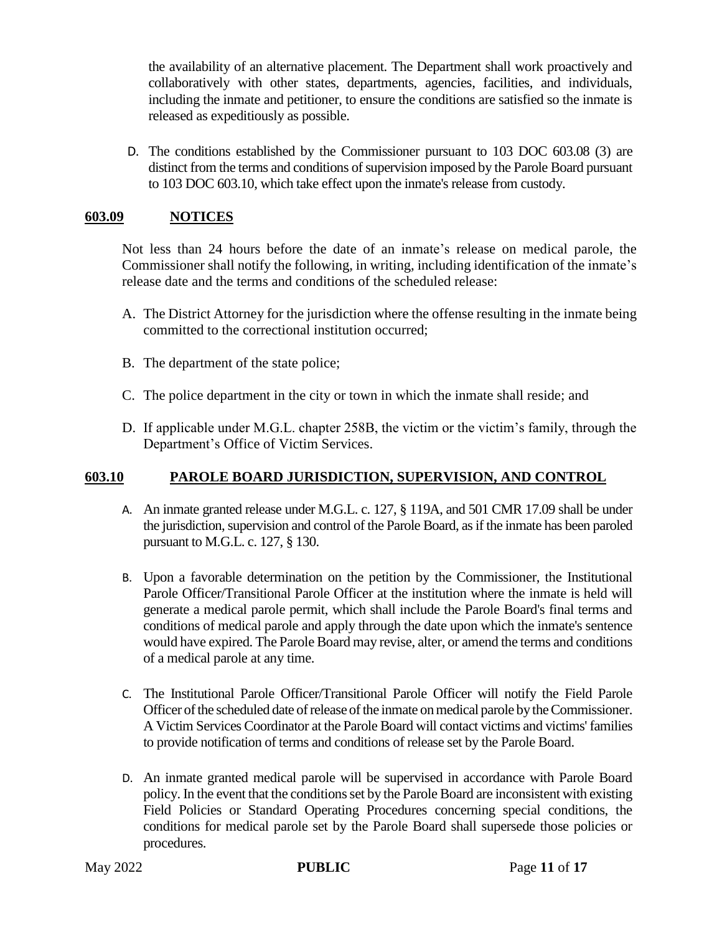the availability of an alternative placement. The Department shall work proactively and collaboratively with other states, departments, agencies, facilities, and individuals, including the inmate and petitioner, to ensure the conditions are satisfied so the inmate is released as expeditiously as possible.

D. The conditions established by the Commissioner pursuant to 103 DOC 603.08 (3) are distinct from the terms and conditions of supervision imposed by the Parole Board pursuant to 103 DOC 603.10, which take effect upon the inmate's release from custody.

## **603.09 NOTICES**

Not less than 24 hours before the date of an inmate's release on medical parole, the Commissioner shall notify the following, in writing, including identification of the inmate's release date and the terms and conditions of the scheduled release:

- A. The District Attorney for the jurisdiction where the offense resulting in the inmate being committed to the correctional institution occurred;
- B. The department of the state police;
- C. The police department in the city or town in which the inmate shall reside; and
- D. If applicable under M.G.L. chapter 258B, the victim or the victim's family, through the Department's Office of Victim Services.

## **603.10 PAROLE BOARD JURISDICTION, SUPERVISION, AND CONTROL**

- A. An inmate granted release under M.G.L. c. 127, § 119A, and 501 CMR 17.09 shall be under the jurisdiction, supervision and control of the Parole Board, as if the inmate has been paroled pursuant to M.G.L. c. 127, § 130.
- B. Upon a favorable determination on the petition by the Commissioner, the Institutional Parole Officer/Transitional Parole Officer at the institution where the inmate is held will generate a medical parole permit, which shall include the Parole Board's final terms and conditions of medical parole and apply through the date upon which the inmate's sentence would have expired. The Parole Board may revise, alter, or amend the terms and conditions of a medical parole at any time.
- C. The Institutional Parole Officer/Transitional Parole Officer will notify the Field Parole Officer of the scheduled date of release of the inmate on medical parole by the Commissioner. A Victim Services Coordinator at the Parole Board will contact victims and victims' families to provide notification of terms and conditions of release set by the Parole Board.
- D. An inmate granted medical parole will be supervised in accordance with Parole Board policy. In the event that the conditions set by the Parole Board are inconsistent with existing Field Policies or Standard Operating Procedures concerning special conditions, the conditions for medical parole set by the Parole Board shall supersede those policies or procedures.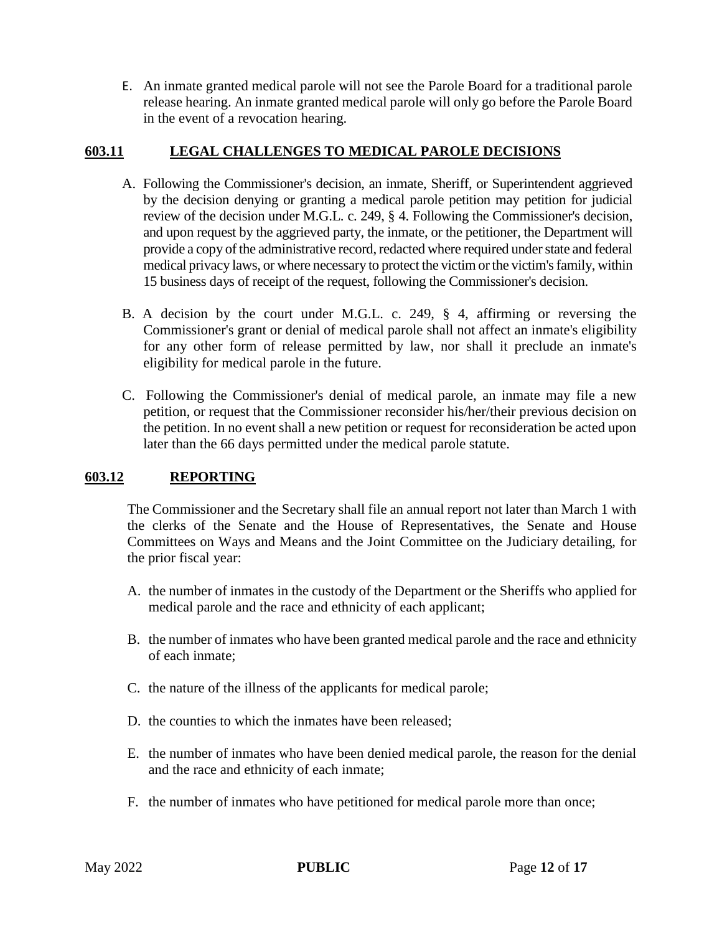E. An inmate granted medical parole will not see the Parole Board for a traditional parole release hearing. An inmate granted medical parole will only go before the Parole Board in the event of a revocation hearing.

## **603.11 LEGAL CHALLENGES TO MEDICAL PAROLE DECISIONS**

- A. Following the Commissioner's decision, an inmate, Sheriff, or Superintendent aggrieved by the decision denying or granting a medical parole petition may petition for judicial review of the decision under M.G.L. c. 249, § 4. Following the Commissioner's decision, and upon request by the aggrieved party, the inmate, or the petitioner, the Department will provide a copy of the administrative record, redacted where required under state and federal medical privacy laws, or where necessary to protect the victim or the victim's family, within 15 business days of receipt of the request, following the Commissioner's decision.
- B. A decision by the court under M.G.L. c. 249, § 4, affirming or reversing the Commissioner's grant or denial of medical parole shall not affect an inmate's eligibility for any other form of release permitted by law, nor shall it preclude an inmate's eligibility for medical parole in the future.
- C. Following the Commissioner's denial of medical parole, an inmate may file a new petition, or request that the Commissioner reconsider his/her/their previous decision on the petition. In no event shall a new petition or request for reconsideration be acted upon later than the 66 days permitted under the medical parole statute.

## **603.12 REPORTING**

The Commissioner and the Secretary shall file an annual report not later than March 1 with the clerks of the Senate and the House of Representatives, the Senate and House Committees on Ways and Means and the Joint Committee on the Judiciary detailing, for the prior fiscal year:

- A. the number of inmates in the custody of the Department or the Sheriffs who applied for medical parole and the race and ethnicity of each applicant;
- B. the number of inmates who have been granted medical parole and the race and ethnicity of each inmate;
- C. the nature of the illness of the applicants for medical parole;
- D. the counties to which the inmates have been released;
- E. the number of inmates who have been denied medical parole, the reason for the denial and the race and ethnicity of each inmate;
- F. the number of inmates who have petitioned for medical parole more than once;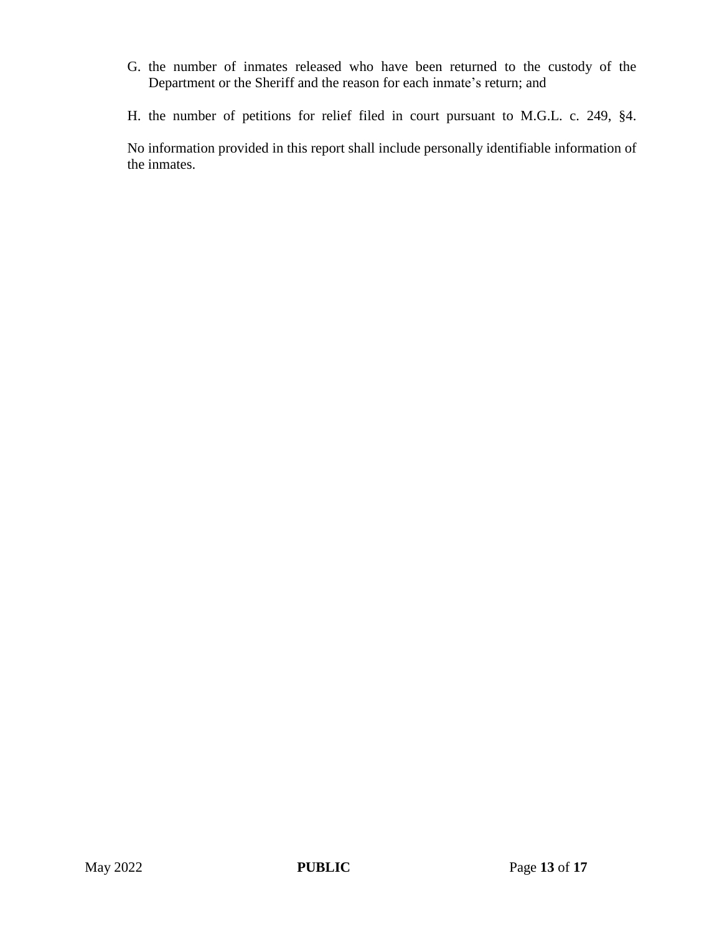- G. the number of inmates released who have been returned to the custody of the Department or the Sheriff and the reason for each inmate's return; and
- H. the number of petitions for relief filed in court pursuant to M.G.L. c. 249, §4.

No information provided in this report shall include personally identifiable information of the inmates.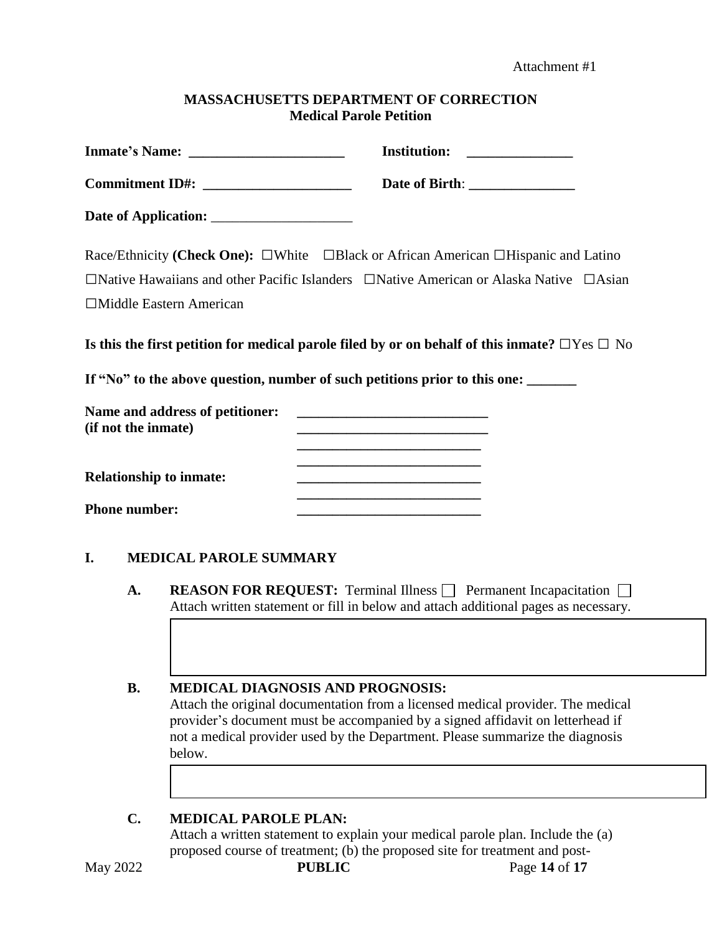Attachment #1

#### **MASSACHUSETTS DEPARTMENT OF CORRECTION Medical Parole Petition**

| Commitment ID#: _____________________ |                                                                                                                                                                                 |                                                        |                                                                                                                       |  |  |
|---------------------------------------|---------------------------------------------------------------------------------------------------------------------------------------------------------------------------------|--------------------------------------------------------|-----------------------------------------------------------------------------------------------------------------------|--|--|
|                                       |                                                                                                                                                                                 |                                                        |                                                                                                                       |  |  |
|                                       |                                                                                                                                                                                 |                                                        | Race/Ethnicity (Check One): $\square$ White $\square$ Black or African American $\square$ Hispanic and Latino         |  |  |
|                                       |                                                                                                                                                                                 |                                                        | $\Box$ Native Hawaiians and other Pacific Islanders $\Box$ Native American or Alaska Native $\Box$ Asian              |  |  |
|                                       |                                                                                                                                                                                 | □Middle Eastern American                               |                                                                                                                       |  |  |
|                                       |                                                                                                                                                                                 |                                                        | Is this the first petition for medical parole filed by or on behalf of this inmate? $\Box$ Yes $\Box$ No              |  |  |
|                                       |                                                                                                                                                                                 |                                                        | If "No" to the above question, number of such petitions prior to this one: ______                                     |  |  |
|                                       |                                                                                                                                                                                 | Name and address of petitioner:<br>(if not the inmate) | <u> 1989 - Johann Barbara, martin da basar da basar da basar da basar da basar da basar da basar da basar da basa</u> |  |  |
|                                       |                                                                                                                                                                                 | <b>Relationship to inmate:</b>                         | <u> 1989 - Johann Barn, mars eta bat erroman erroman erroman erroman erroman erroman erroman erroman erroman err</u>  |  |  |
|                                       | <b>Phone number:</b>                                                                                                                                                            |                                                        |                                                                                                                       |  |  |
| I.                                    |                                                                                                                                                                                 | <b>MEDICAL PAROLE SUMMARY</b>                          |                                                                                                                       |  |  |
|                                       | A.<br><b>REASON FOR REQUEST:</b> Terminal Illness $\Box$ Permanent Incapacitation $\Box$<br>Attach written statement or fill in below and attach additional pages as necessary. |                                                        |                                                                                                                       |  |  |
|                                       |                                                                                                                                                                                 |                                                        |                                                                                                                       |  |  |
|                                       |                                                                                                                                                                                 |                                                        |                                                                                                                       |  |  |

## **B. MEDICAL DIAGNOSIS AND PROGNOSIS:**

Attach the original documentation from a licensed medical provider. The medical provider's document must be accompanied by a signed affidavit on letterhead if not a medical provider used by the Department. Please summarize the diagnosis below.

## **C. MEDICAL PAROLE PLAN:**

Attach a written statement to explain your medical parole plan. Include the (a) proposed course of treatment; (b) the proposed site for treatment and post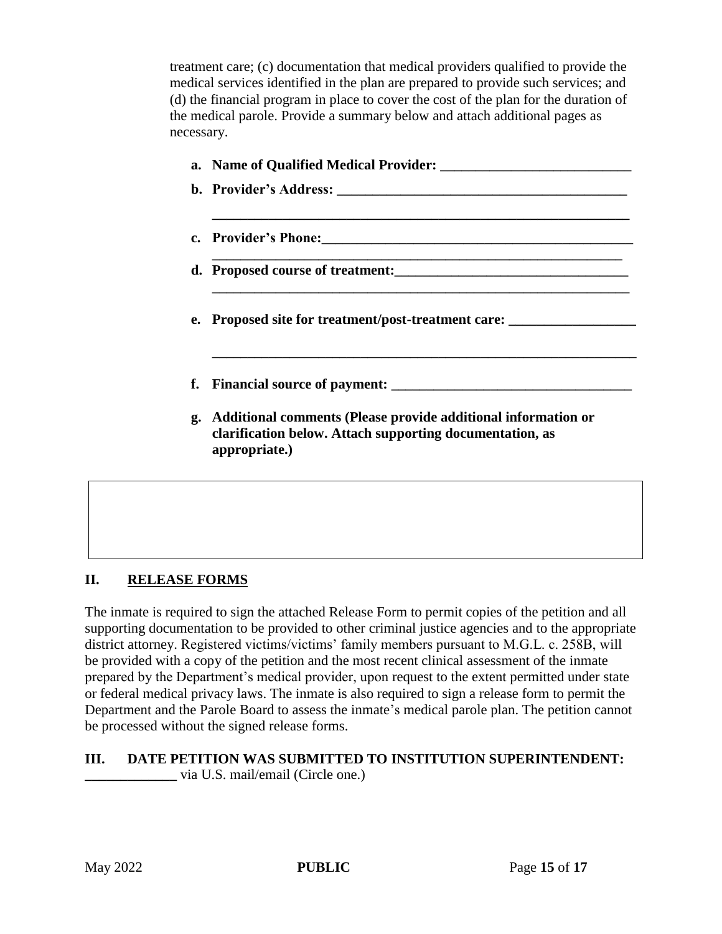treatment care; (c) documentation that medical providers qualified to provide the medical services identified in the plan are prepared to provide such services; and (d) the financial program in place to cover the cost of the plan for the duration of the medical parole. Provide a summary below and attach additional pages as necessary.

| e. Proposed site for treatment/post-treatment care:                                                                                        |
|--------------------------------------------------------------------------------------------------------------------------------------------|
|                                                                                                                                            |
| Additional comments (Please provide additional information or<br>clarification below. Attach supporting documentation, as<br>appropriate.) |
|                                                                                                                                            |

## **II. RELEASE FORMS**

The inmate is required to sign the attached Release Form to permit copies of the petition and all supporting documentation to be provided to other criminal justice agencies and to the appropriate district attorney. Registered victims/victims' family members pursuant to M.G.L. c. 258B, will be provided with a copy of the petition and the most recent clinical assessment of the inmate prepared by the Department's medical provider, upon request to the extent permitted under state or federal medical privacy laws. The inmate is also required to sign a release form to permit the Department and the Parole Board to assess the inmate's medical parole plan. The petition cannot be processed without the signed release forms.

#### **III. DATE PETITION WAS SUBMITTED TO INSTITUTION SUPERINTENDENT: \_\_\_\_\_\_\_\_\_\_\_\_\_** via U.S. mail/email (Circle one.)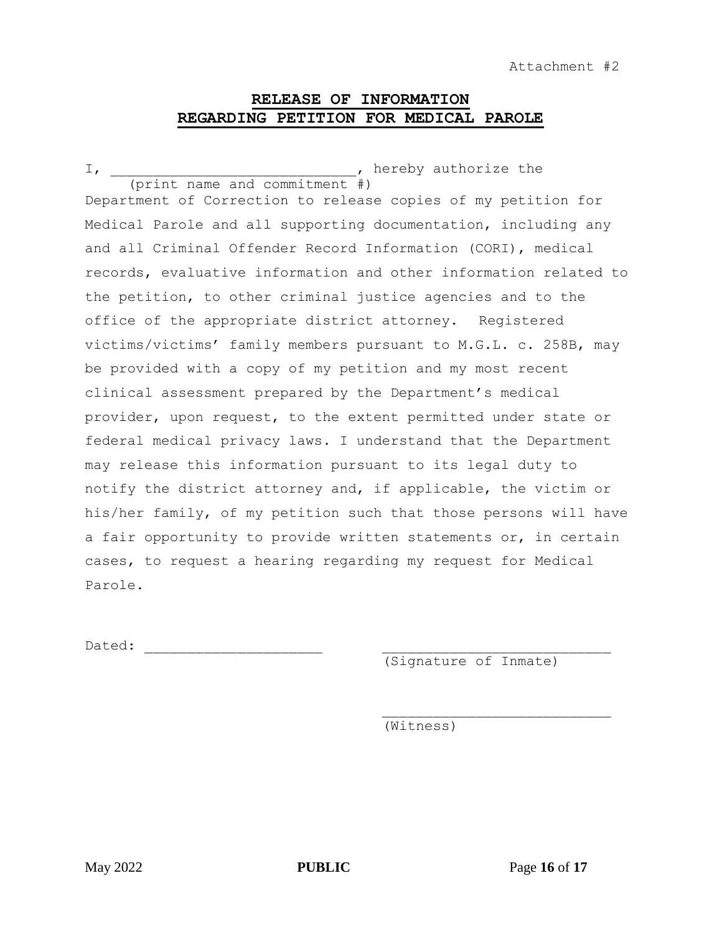## **RELEASE OF INFORMATION REGARDING PETITION FOR MEDICAL PAROLE**

I, thereby authorize the state of  $\overline{L}$ , hereby authorize the (print name and commitment #) Department of Correction to release copies of my petition for Medical Parole and all supporting documentation, including any and all Criminal Offender Record Information (CORI), medical records, evaluative information and other information related to the petition, to other criminal justice agencies and to the office of the appropriate district attorney. Registered victims/victims' family members pursuant to M.G.L. c. 258B, may be provided with a copy of my petition and my most recent clinical assessment prepared by the Department's medical provider, upon request, to the extent permitted under state or federal medical privacy laws. I understand that the Department may release this information pursuant to its legal duty to notify the district attorney and, if applicable, the victim or his/her family, of my petition such that those persons will have a fair opportunity to provide written statements or, in certain cases, to request a hearing regarding my request for Medical Parole.

Dated: \_\_\_\_\_\_\_\_\_\_\_\_\_\_\_\_\_\_\_\_\_ \_\_\_\_\_\_\_\_\_\_\_\_\_\_\_\_\_\_\_\_\_\_\_\_\_\_\_

(Signature of Inmate)

(Witness)